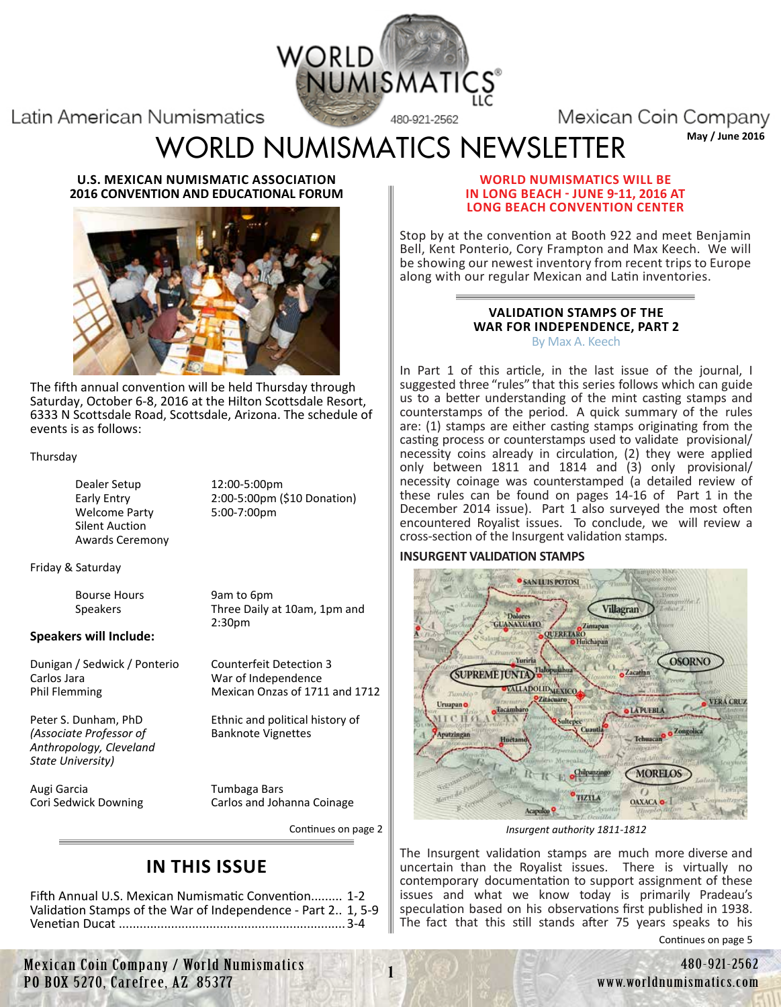

Latin American Numismatics

Mexican Coin Company

[WORLD NUMISMATICS NEWSLETTER](http://worldnumismatics.com/) May/June 2016

**U.S. MEXICAN NUMISMATIC ASSOCIATION 2016 CONVENTION AND EDUCATIONAL FORUM**



The fifth annual convention will be held Thursday through Saturday, October 6-8, 2016 at the Hilton Scottsdale Resort, 6333 N Scottsdale Road, Scottsdale, Arizona. The schedule of events is as follows:

#### Thursday

Dealer Setup 12:00-5:00pm Welcome Party 5:00-7:00pm Silent Auction Awards Ceremony

Early Entry 2:00-5:00pm (\$10 Donation)

Friday & Saturday

Bourse Hours 9am to 6pm<br>Speakers 50 Three Daily a

Three Daily at 10am, 1pm and 2:30pm

#### **Speakers will Include:**

Dunigan / Sedwick / Ponterio Counterfeit Detection 3 Carlos Jara War of Independence

*(Associate Professor of Anthropology, Cleveland State University)*

Augi Garcia Tumbaga Bars

Phil Flemming Mexican Onzas of 1711 and 1712

Peter S. Dunham, PhD<br>
(Associate Professor of Banknote Vignettes

Cori Sedwick Downing Carlos and Johanna Coinage

Continues on page 2

# **IN THIS ISSUE**

Fifth Annual U.S. Mexican Numismatic Convention......... 1-2 Validation Stamps of the War of Independence - Part 2.. 1, 5-9 Venetian Ducat .................................................................3-4

#### **WORLD NUMISMATICS WILL BE IN LONG BEACH - JUNE 9-11, 2016 AT LONG BEACH CONVENTION CENTER**

Stop by at the convention at Booth 922 and meet Benjamin Bell, Kent Ponterio, Cory Frampton and Max Keech. We will be showing our newest inventory from recent trips to Europe along with our regular Mexican and Latin inventories.

#### **VALIDATION STAMPS OF THE WAR FOR INDEPENDENCE, PART 2** By Max A. Keech

In Part 1 of this article, in the last issue of the journal, I suggested three "rules" that this series follows which can guide us to a better understanding of the mint casting stamps and counterstamps of the period. A quick summary of the rules are: (1) stamps are either casting stamps originating from the casting process or counterstamps used to validate provisional/ necessity coins already in circulation, (2) they were applied only between 1811 and 1814 and (3) only provisional/ necessity coinage was counterstamped (a detailed review of these rules can be found on pages 14-16 of Part 1 in the December 2014 issue). Part 1 also surveyed the most often encountered Royalist issues. To conclude, we will review a cross-section of the Insurgent validation stamps.

#### **INSURGENT VALIDATION STAMPS**



*Insurgent authority 1811-1812*

The Insurgent validation stamps are much more diverse and uncertain than the Royalist issues. There is virtually no contemporary documentation to support assignment of these issues and what we know today is primarily Pradeau's speculation based on his observations first published in 1938. The fact that this still stands after 75 years speaks to his

Continues on page 5

Mexican Coin Company / World Numismatics<br>270, Carefree, AZ 85377 1 480-921-2562 480-921-2562<br>200 www.worldnumismatics.com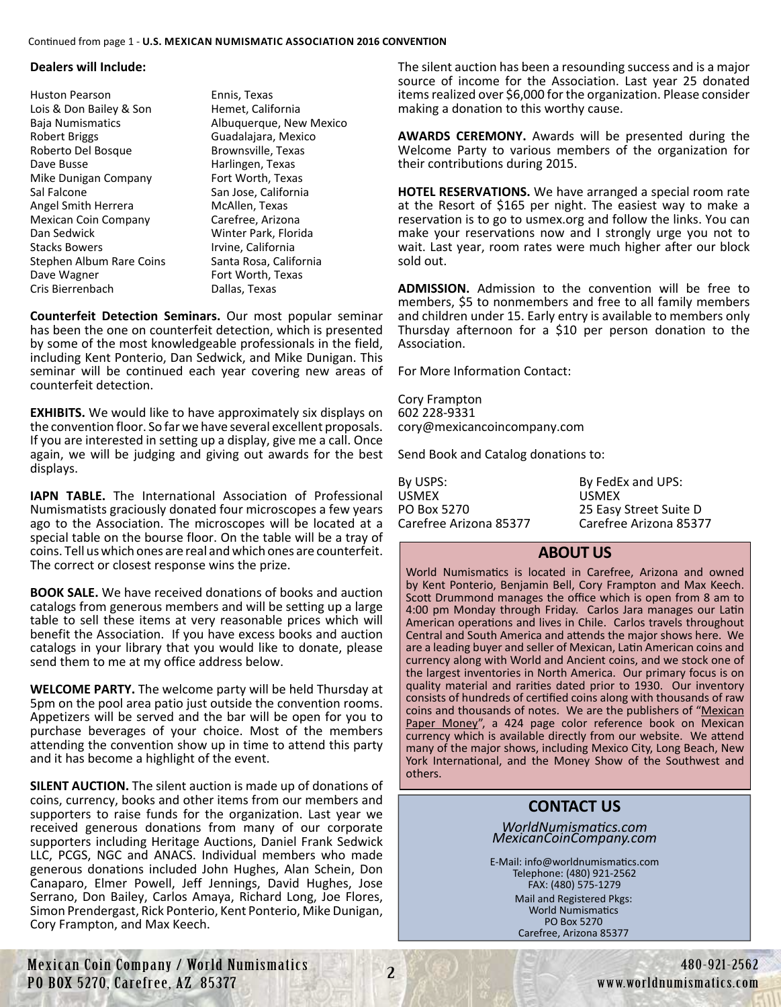#### **Dealers will Include:**

Huston Pearson Ennis, Texas Lois & Don Bailey & Son Hemet, California Robert Briggs Guadalajara, Mexico Roberto Del Bosque Brownsville, Texas Dave Busse **Harlingen**, Texas Mike Dunigan Company Fort Worth, Texas Sal Falcone San Jose, California Angel Smith Herrera McAllen, Texas Mexican Coin Company Carefree, Arizona Dan Sedwick Winter Park, Florida Stacks Bowers **Irvine**, California Stephen Album Rare Coins Santa Rosa, California Dave Wagner **Fort Worth, Texas** Cris Bierrenbach Dallas, Texas

Baja Numismatics Albuquerque, New Mexico

**Counterfeit Detection Seminars.** Our most popular seminar has been the one on counterfeit detection, which is presented by some of the most knowledgeable professionals in the field, including Kent Ponterio, Dan Sedwick, and Mike Dunigan. This seminar will be continued each year covering new areas of counterfeit detection.

**EXHIBITS.** We would like to have approximately six displays on the convention floor. So far we have several excellent proposals. If you are interested in setting up a display, give me a call. Once again, we will be judging and giving out awards for the best displays.

**IAPN TABLE.** The International Association of Professional Numismatists graciously donated four microscopes a few years ago to the Association. The microscopes will be located at a special table on the bourse floor. On the table will be a tray of coins. Tell us which ones are real and which ones are counterfeit. The correct or closest response wins the prize.

**BOOK SALE.** We have received donations of books and auction catalogs from generous members and will be setting up a large table to sell these items at very reasonable prices which will benefit the Association. If you have excess books and auction catalogs in your library that you would like to donate, please send them to me at my office address below.

**WELCOME PARTY.** The welcome party will be held Thursday at 5pm on the pool area patio just outside the convention rooms. Appetizers will be served and the bar will be open for you to purchase beverages of your choice. Most of the members attending the convention show up in time to attend this party and it has become a highlight of the event.

**SILENT AUCTION.** The silent auction is made up of donations of coins, currency, books and other items from our members and supporters to raise funds for the organization. Last year we received generous donations from many of our corporate supporters including Heritage Auctions, Daniel Frank Sedwick LLC, PCGS, NGC and ANACS. Individual members who made generous donations included John Hughes, Alan Schein, Don Canaparo, Elmer Powell, Jeff Jennings, David Hughes, Jose Serrano, Don Bailey, Carlos Amaya, Richard Long, Joe Flores, Simon Prendergast, Rick Ponterio, Kent Ponterio, Mike Dunigan, Cory Frampton, and Max Keech.

The silent auction has been a resounding success and is a major source of income for the Association. Last year 25 donated items realized over \$6,000 for the organization. Please consider making a donation to this worthy cause.

**AWARDS CEREMONY.** Awards will be presented during the Welcome Party to various members of the organization for their contributions during 2015.

**HOTEL RESERVATIONS.** We have arranged a special room rate at the Resort of \$165 per night. The easiest way to make a reservation is to go to usmex.org and follow the links. You can make your reservations now and I strongly urge you not to wait. Last year, room rates were much higher after our block sold out.

**ADMISSION.** Admission to the convention will be free to members, \$5 to nonmembers and free to all family members and children under 15. Early entry is available to members only Thursday afternoon for a \$10 per person donation to the Association.

For More Information Contact:

Cory Frampton 602 228-9331 cory@mexicancoincompany.com

Send Book and Catalog donations to:

| By FedEx and UPS:      |
|------------------------|
| <b>USMEX</b>           |
| 25 Easy Street Suite D |
| Carefree Arizona 85377 |
|                        |

# **ABOUT US**

World Numismatics is located in Carefree, Arizona and owned by Kent Ponterio, Benjamin Bell, Cory Frampton and Max Keech. Scott Drummond manages the office which is open from 8 am to 4:00 pm Monday through Friday. Carlos Jara manages our Latin American operations and lives in Chile. Carlos travels throughout Central and South America and attends the major shows here. We are a leading buyer and seller of Mexican, Latin American coins and currency along with World and Ancient coins, and we stock one of the largest inventories in North America. Our primary focus is on quality material and rarities dated prior to 1930. Our inventory consists of hundreds of certified coins along with thousands of raw coins and thousands of notes. We are the publishers of "Mexican Paper Money", a 424 page color reference book on Mexican currency which is available directly from our website. We attend many of the major shows, including Mexico City, Long Beach, New York International, and the Money Show of the Southwest and others.

# **CONTACT US**

*WorldNumismatics.com MexicanCoinCompany.com*

Mail and Registered Pkgs: World Numismatics PO Box 5270 Carefree, Arizona 85377 E-Mail: info@worldnumismatics.com Telephone: (480) 921-2562 FAX: (480) 575-1279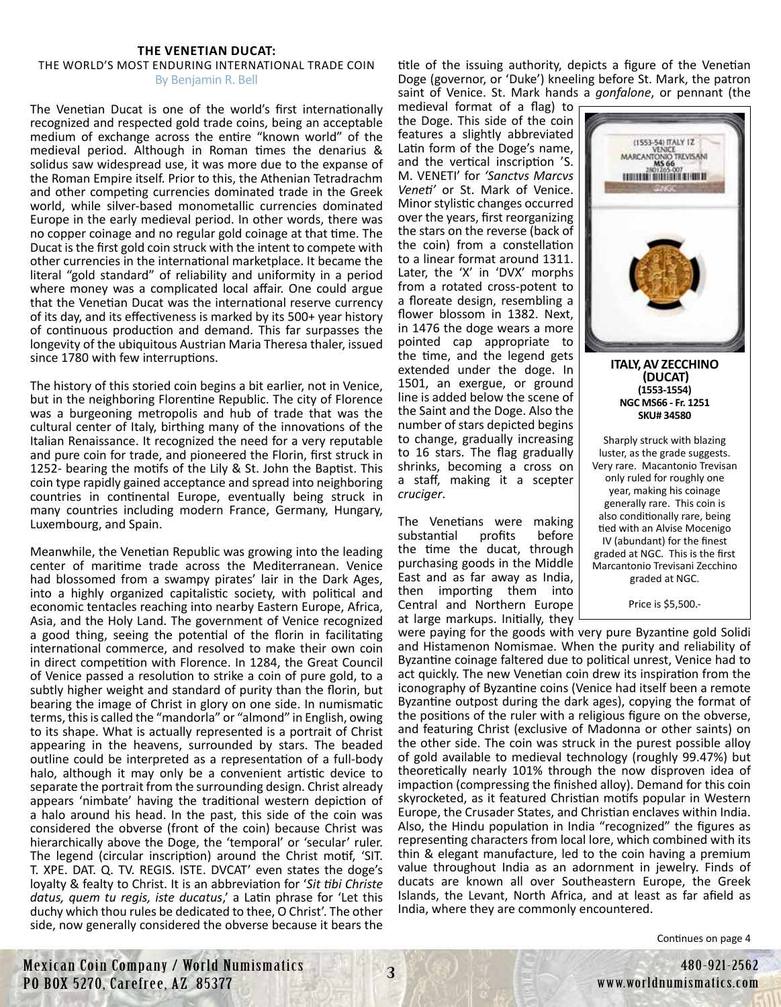#### **THE VENETIAN DUCAT:**

#### THE WORLD'S MOST ENDURING INTERNATIONAL TRADE COIN By Benjamin R. Bell

The Venetian Ducat is one of the world's first internationally recognized and respected gold trade coins, being an acceptable medium of exchange across the entire "known world" of the medieval period. Although in Roman times the denarius & solidus saw widespread use, it was more due to the expanse of the Roman Empire itself. Prior to this, the Athenian Tetradrachm and other competing currencies dominated trade in the Greek world, while silver-based monometallic currencies dominated Europe in the early medieval period. In other words, there was no copper coinage and no regular gold coinage at that time. The Ducat is the first gold coin struck with the intent to compete with other currencies in the international marketplace. It became the literal "gold standard" of reliability and uniformity in a period where money was a complicated local affair. One could argue that the Venetian Ducat was the international reserve currency of its day, and its effectiveness is marked by its 500+ year history of continuous production and demand. This far surpasses the longevity of the ubiquitous Austrian Maria Theresa thaler, issued since 1780 with few interruptions.

The history of this storied coin begins a bit earlier, not in Venice, but in the neighboring Florentine Republic. The city of Florence was a burgeoning metropolis and hub of trade that was the cultural center of Italy, birthing many of the innovations of the Italian Renaissance. It recognized the need for a very reputable and pure coin for trade, and pioneered the Florin, first struck in 1252- bearing the motifs of the Lily & St. John the Baptist. This coin type rapidly gained acceptance and spread into neighboring countries in continental Europe, eventually being struck in many countries including modern France, Germany, Hungary, Luxembourg, and Spain.

Meanwhile, the Venetian Republic was growing into the leading center of maritime trade across the Mediterranean. Venice had blossomed from a swampy pirates' lair in the Dark Ages, into a highly organized capitalistic society, with political and economic tentacles reaching into nearby Eastern Europe, Africa, Asia, and the Holy Land. The government of Venice recognized a good thing, seeing the potential of the florin in facilitating international commerce, and resolved to make their own coin in direct competition with Florence. In 1284, the Great Council of Venice passed a resolution to strike a coin of pure gold, to a subtly higher weight and standard of purity than the florin, but bearing the image of Christ in glory on one side. In numismatic terms, this is called the "mandorla" or "almond" in English, owing to its shape. What is actually represented is a portrait of Christ appearing in the heavens, surrounded by stars. The beaded outline could be interpreted as a representation of a full-body halo, although it may only be a convenient artistic device to separate the portrait from the surrounding design. Christ already appears 'nimbate' having the traditional western depiction of a halo around his head. In the past, this side of the coin was considered the obverse (front of the coin) because Christ was hierarchically above the Doge, the 'temporal' or 'secular' ruler. The legend (circular inscription) around the Christ motif, 'SIT. T. XPE. DAT. Q. TV. REGIS. ISTE. DVCAT' even states the doge's loyalty & fealty to Christ. It is an abbreviation for '*Sit tibi Christe datus, quem tu regis, iste ducatus*,' a Latin phrase for 'Let this duchy which thou rules be dedicated to thee, O Christ'. The other side, now generally considered the obverse because it bears the

title of the issuing authority, depicts a figure of the Venetian Doge (governor, or 'Duke') kneeling before St. Mark, the patron saint of Venice. St. Mark hands a *gonfalone*, or pennant (the

medieval format of a flag) to the Doge. This side of the coin features a slightly abbreviated Latin form of the Doge's name, and the vertical inscription 'S. M. VENETI' for *'Sanctvs Marcvs Veneti'* or St. Mark of Venice. Minor stylistic changes occurred over the years, first reorganizing the stars on the reverse (back of the coin) from a constellation to a linear format around 1311. Later, the 'X' in 'DVX' morphs from a rotated cross-potent to a floreate design, resembling a flower blossom in 1382. Next, in 1476 the doge wears a more pointed cap appropriate to the time, and the legend gets extended under the doge. In 1501, an exergue, or ground line is added below the scene of the Saint and the Doge. Also the number of stars depicted begins to change, gradually increasing to 16 stars. The flag gradually shrinks, becoming a cross on a staff, making it a scepter *cruciger*.

The Venetians were making substantial profits before the time the ducat, through purchasing goods in the Middle East and as far away as India, then importing them into Central and Northern Europe at large markups. Initially, they



**ITALY, AV ZECCHINO (DUCAT) (1553-1554) NGC MS66 - Fr. 1251 SKU# 34580**

Sharply struck with blazing luster, as the grade suggests. Very rare. Macantonio Trevisan only ruled for roughly one year, making his coinage generally rare. This coin is also conditionally rare, being tied with an Alvise Mocenigo IV (abundant) for the finest graded at NGC. This is the first [Marcantonio Trevisani Zecchino](https://worldnumismatics.com/?product=49013)  graded at NGC.

Price is \$5,500.-

were paying for the goods with very pure Byzantine gold Solidi and Histamenon Nomismae. When the purity and reliability of Byzantine coinage faltered due to political unrest, Venice had to act quickly. The new Venetian coin drew its inspiration from the iconography of Byzantine coins (Venice had itself been a remote Byzantine outpost during the dark ages), copying the format of the positions of the ruler with a religious figure on the obverse, and featuring Christ (exclusive of Madonna or other saints) on the other side. The coin was struck in the purest possible alloy of gold available to medieval technology (roughly 99.47%) but theoretically nearly 101% through the now disproven idea of impaction (compressing the finished alloy). Demand for this coin skyrocketed, as it featured Christian motifs popular in Western Europe, the Crusader States, and Christian enclaves within India. Also, the Hindu population in India "recognized" the figures as representing characters from local lore, which combined with its thin & elegant manufacture, led to the coin having a premium value throughout India as an adornment in jewelry. Finds of ducats are known all over Southeastern Europe, the Greek Islands, the Levant, North Africa, and at least as far afield as India, where they are commonly encountered.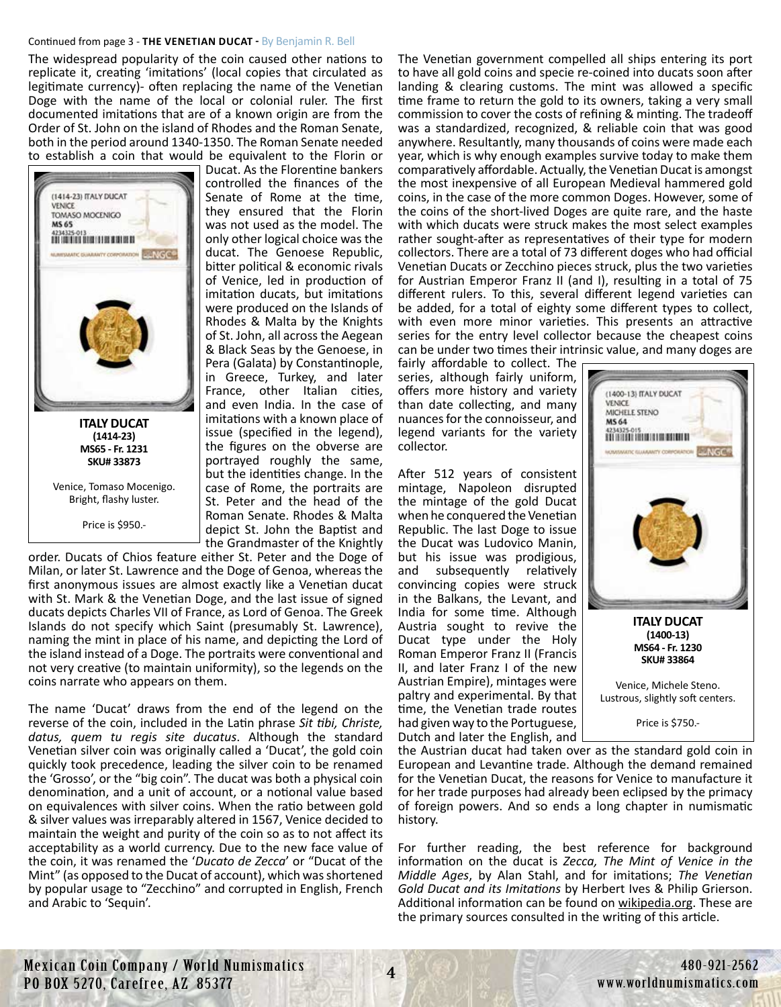#### Continued from page 3 - **THE VENETIAN DUCAT -** By Benjamin R. Bell

The widespread popularity of the coin caused other nations to replicate it, creating 'imitations' (local copies that circulated as legitimate currency)- often replacing the name of the Venetian Doge with the name of the local or colonial ruler. The first documented imitations that are of a known origin are from the Order of St. John on the island of Rhodes and the Roman Senate, both in the period around 1340-1350. The Roman Senate needed to establish a coin that would be equivalent to the Florin or



[Venice, Tomaso Mocenigo.](https://worldnumismatics.com/?product=italy-san-marino-vatican-zecchino-33873)  Bright, flashy luster.

Price is \$950.-

Ducat. As the Florentine bankers controlled the finances of the Senate of Rome at the time, they ensured that the Florin was not used as the model. The only other logical choice was the ducat. The Genoese Republic, bitter political & economic rivals of Venice, led in production of imitation ducats, but imitations were produced on the Islands of Rhodes & Malta by the Knights of St. John, all across the Aegean & Black Seas by the Genoese, in Pera (Galata) by Constantinople, in Greece, Turkey, and later France, other Italian cities, and even India. In the case of imitations with a known place of issue (specified in the legend), the figures on the obverse are portrayed roughly the same, but the identities change. In the case of Rome, the portraits are St. Peter and the head of the Roman Senate. Rhodes & Malta depict St. John the Baptist and the Grandmaster of the Knightly

order. Ducats of Chios feature either St. Peter and the Doge of Milan, or later St. Lawrence and the Doge of Genoa, whereas the first anonymous issues are almost exactly like a Venetian ducat with St. Mark & the Venetian Doge, and the last issue of signed ducats depicts Charles VII of France, as Lord of Genoa. The Greek Islands do not specify which Saint (presumably St. Lawrence), naming the mint in place of his name, and depicting the Lord of the island instead of a Doge. The portraits were conventional and not very creative (to maintain uniformity), so the legends on the coins narrate who appears on them.

The name 'Ducat' draws from the end of the legend on the reverse of the coin, included in the Latin phrase *Sit tibi, Christe, datus, quem tu regis site ducatus*. Although the standard Venetian silver coin was originally called a 'Ducat', the gold coin quickly took precedence, leading the silver coin to be renamed the 'Grosso', or the "big coin". The ducat was both a physical coin denomination, and a unit of account, or a notional value based on equivalences with silver coins. When the ratio between gold & silver values was irreparably altered in 1567, Venice decided to maintain the weight and purity of the coin so as to not affect its acceptability as a world currency. Due to the new face value of the coin, it was renamed the '*Ducato de Zecca*' or "Ducat of the Mint" (as opposed to the Ducat of account), which was shortened by popular usage to "Zecchino" and corrupted in English, French and Arabic to 'Sequin'.

The Venetian government compelled all ships entering its port to have all gold coins and specie re-coined into ducats soon after landing & clearing customs. The mint was allowed a specific time frame to return the gold to its owners, taking a very small commission to cover the costs of refining & minting. The tradeoff was a standardized, recognized, & reliable coin that was good anywhere. Resultantly, many thousands of coins were made each year, which is why enough examples survive today to make them comparatively affordable. Actually, the Venetian Ducat is amongst the most inexpensive of all European Medieval hammered gold coins, in the case of the more common Doges. However, some of the coins of the short-lived Doges are quite rare, and the haste with which ducats were struck makes the most select examples rather sought-after as representatives of their type for modern collectors. There are a total of 73 different doges who had official Venetian Ducats or Zecchino pieces struck, plus the two varieties for Austrian Emperor Franz II (and I), resulting in a total of 75 different rulers. To this, several different legend varieties can be added, for a total of eighty some different types to collect, with even more minor varieties. This presents an attractive series for the entry level collector because the cheapest coins can be under two times their intrinsic value, and many doges are

fairly affordable to collect. The series, although fairly uniform, offers more history and variety than date collecting, and many nuances for the connoisseur, and legend variants for the variety collector.

After 512 years of consistent mintage, Napoleon disrupted the mintage of the gold Ducat when he conquered the Venetian Republic. The last Doge to issue the Ducat was Ludovico Manin, but his issue was prodigious, and subsequently relatively convincing copies were struck in the Balkans, the Levant, and India for some time. Although Austria sought to revive the Ducat type under the Holy Roman Emperor Franz II (Francis II, and later Franz I of the new Austrian Empire), mintages were paltry and experimental. By that time, the Venetian trade routes had given way to the Portuguese, Dutch and later the English, and



For further reading, the best reference for background information on the ducat is *Zecca, The Mint of Venice in the Middle Ages*, by Alan Stahl, and for imitations; *The Venetian Gold Ducat and its Imitations* by Herbert Ives & Philip Grierson. Additional information can be found on wikipedia.org. These are the primary sources consulted in the writing of this article.



**ITALY DUCAT (1400-13) MS64 - Fr. 1230 SKU# 33864**

Venice, Michele Steno. [Lustrous, slightly soft centers.](https://worldnumismatics.com/?product=italy-san-marino-vatican-zecchino-33864)

Price is \$750.-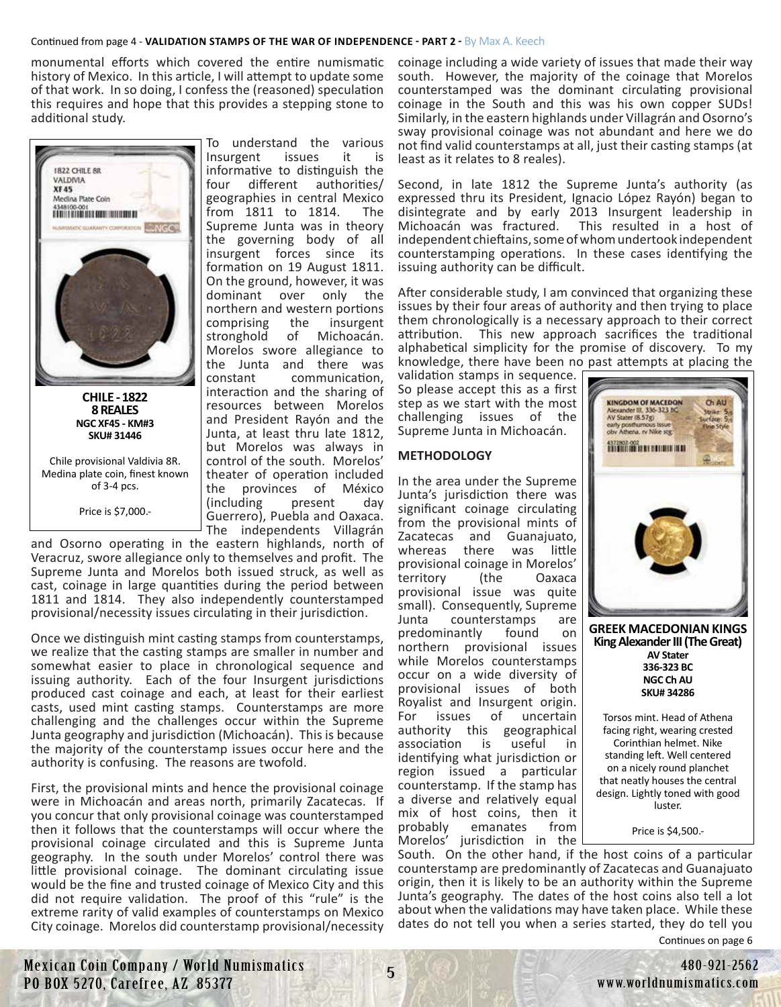#### Continued from page 4 - **VALIDATION STAMPS OF THE WAR OF INDEPENDENCE - PART 2 -** By Max A. Keech

monumental efforts which covered the entire numismatic history of Mexico. In this article, I will attempt to update some of that work. In so doing, I confess the (reasoned) speculation this requires and hope that this provides a stepping stone to additional study.



**8 REALES NGC XF45 - KM#3 SKU# 31446**

Chile provisional Valdivia 8R. [Medina plate coin, finest known](https://worldnumismatics.com/?product=chile-8-reales-1822-valdivia-xf-31446)  of 3-4 pcs.

Price is \$7,000.-

To understand the various Insurgent issues it is informative to distinguish the four different authorities/ geographies in central Mexico from 1811 to 1814. The Supreme Junta was in theory the governing body of all insurgent forces since its formation on 19 August 1811. On the ground, however, it was dominant over only the northern and western portions comprising the insurgent<br>stronghold of Michoacán. stronghold of Michoacán. Morelos swore allegiance to the Junta and there was constant communication, interaction and the sharing of resources between Morelos and President Rayón and the Junta, at least thru late 1812, but Morelos was always in control of the south. Morelos' theater of operation included the provinces of México (including present day Guerrero), Puebla and Oaxaca. The independents Villagrán

and Osorno operating in the eastern highlands, north of Veracruz, swore allegiance only to themselves and profit. The Supreme Junta and Morelos both issued struck, as well as cast, coinage in large quantities during the period between 1811 and 1814. They also independently counterstamped provisional/necessity issues circulating in their jurisdiction.

Once we distinguish mint casting stamps from counterstamps, we realize that the casting stamps are smaller in number and somewhat easier to place in chronological sequence and issuing authority. Each of the four Insurgent jurisdictions produced cast coinage and each, at least for their earliest casts, used mint casting stamps. Counterstamps are more challenging and the challenges occur within the Supreme Junta geography and jurisdiction (Michoacán). This is because the majority of the counterstamp issues occur here and the authority is confusing. The reasons are twofold.

First, the provisional mints and hence the provisional coinage were in Michoacán and areas north, primarily Zacatecas. If you concur that only provisional coinage was counterstamped then it follows that the counterstamps will occur where the provisional coinage circulated and this is Supreme Junta geography. In the south under Morelos' control there was little provisional coinage. The dominant circulating issue would be the fine and trusted coinage of Mexico City and this did not require validation. The proof of this "rule" is the extreme rarity of valid examples of counterstamps on Mexico City coinage. Morelos did counterstamp provisional/necessity

coinage including a wide variety of issues that made their way south. However, the majority of the coinage that Morelos counterstamped was the dominant circulating provisional coinage in the South and this was his own copper SUDs! Similarly, in the eastern highlands under Villagrán and Osorno's sway provisional coinage was not abundant and here we do not find valid counterstamps at all, just their casting stamps (at least as it relates to 8 reales).

Second, in late 1812 the Supreme Junta's authority (as expressed thru its President, Ignacio López Rayón) began to disintegrate and by early 2013 Insurgent leadership in Michoacán was fractured. This resulted in a host of independent chieftains, some of whom undertook independent counterstamping operations. In these cases identifying the issuing authority can be difficult.

After considerable study, I am convinced that organizing these issues by their four areas of authority and then trying to place them chronologically is a necessary approach to their correct attribution. This new approach sacrifices the traditional alphabetical simplicity for the promise of discovery. To my knowledge, there have been no past attempts at placing the

validation stamps in sequence. So please accept this as a first step as we start with the most challenging issues of the Supreme Junta in Michoacán.

# **METHODOLOGY**

In the area under the Supreme Junta's jurisdiction there was significant coinage circulating from the provisional mints of Zacatecas and Guanajuato, whereas there was little provisional coinage in Morelos' territory (the Oaxaca provisional issue was quite small). Consequently, Supreme Junta counterstamps are predominantly found on northern provisional issues while Morelos counterstamps occur on a wide diversity of provisional issues of both Royalist and Insurgent origin.<br>For issues of uncertain For issues of uncertain authority this geographical association is useful in identifying what jurisdiction or region issued a particular counterstamp. If the stamp has a diverse and relatively equal mix of host coins, then it probably emanates from Morelos' jurisdiction in the



**King Alexander III (The Great) AV Stater 336-323 BC NGC Ch AU SKU# 34286**

Torsos mint. Head of Athena facing right, wearing crested Corinthian helmet. Nike standing left. Well centered on a nicely round planchet that neatly houses the central design. Lightly toned with good luster.

Price is \$4,500.-

Continues on page 6 South. On the other hand, if the host coins of a particular counterstamp are predominantly of Zacatecas and Guanajuato origin, then it is likely to be an authority within the Supreme Junta's geography. The dates of the host coins also tell a lot about when the validations may have taken place. While these dates do not tell you when a series started, they do tell you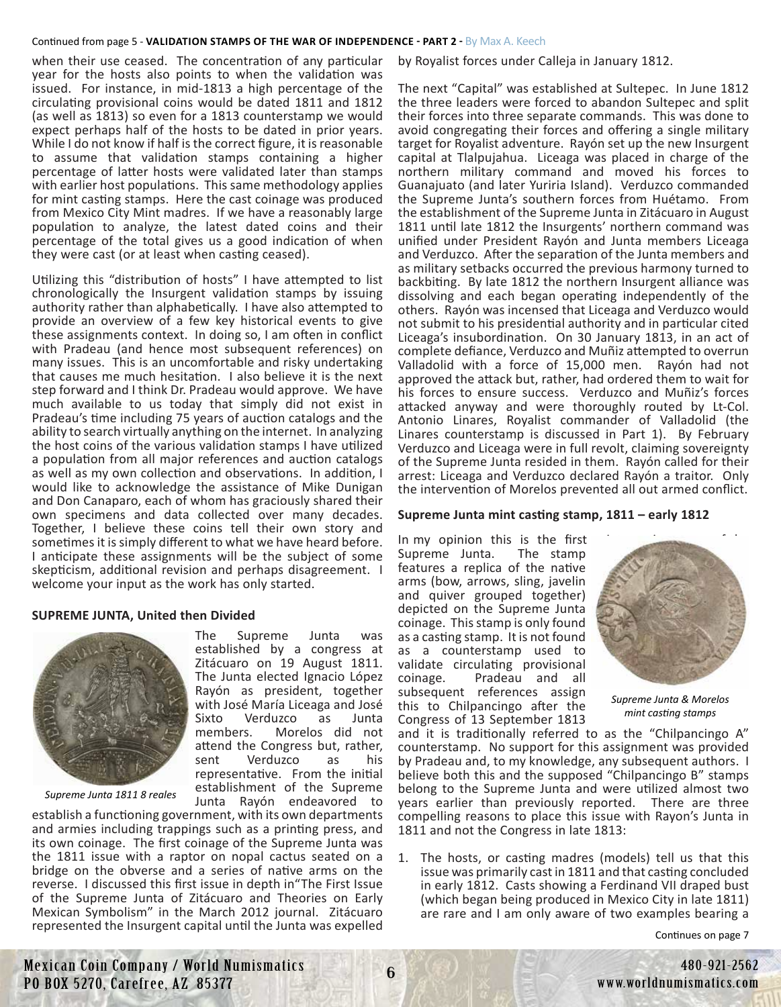#### Continued from page 5 - **VALIDATION STAMPS OF THE WAR OF INDEPENDENCE - PART 2 -** By Max A. Keech

when their use ceased. The concentration of any particular year for the hosts also points to when the validation was issued. For instance, in mid-1813 a high percentage of the circulating provisional coins would be dated 1811 and 1812 (as well as 1813) so even for a 1813 counterstamp we would expect perhaps half of the hosts to be dated in prior years. While I do not know if half is the correct figure, it is reasonable to assume that validation stamps containing a higher percentage of latter hosts were validated later than stamps with earlier host populations. This same methodology applies for mint casting stamps. Here the cast coinage was produced from Mexico City Mint madres. If we have a reasonably large population to analyze, the latest dated coins and their percentage of the total gives us a good indication of when they were cast (or at least when casting ceased).

Utilizing this "distribution of hosts" I have attempted to list chronologically the Insurgent validation stamps by issuing authority rather than alphabetically. I have also attempted to provide an overview of a few key historical events to give these assignments context. In doing so, I am often in conflict with Pradeau (and hence most subsequent references) on many issues. This is an uncomfortable and risky undertaking that causes me much hesitation. I also believe it is the next step forward and I think Dr. Pradeau would approve. We have much available to us today that simply did not exist in Pradeau's time including 75 years of auction catalogs and the ability to search virtually anything on the internet. In analyzing the host coins of the various validation stamps I have utilized a population from all major references and auction catalogs as well as my own collection and observations. In addition, I would like to acknowledge the assistance of Mike Dunigan and Don Canaparo, each of whom has graciously shared their own specimens and data collected over many decades. Together, I believe these coins tell their own story and sometimes it is simply different to what we have heard before. I anticipate these assignments will be the subject of some skepticism, additional revision and perhaps disagreement. I welcome your input as the work has only started.

#### **SUPREME JUNTA, United then Divided**



*Supreme Junta 1811 8 reales*

Junta Rayón endeavored to establish a functioning government, with its own departments and armies including trappings such as a printing press, and its own coinage. The first coinage of the Supreme Junta was the 1811 issue with a raptor on nopal cactus seated on a bridge on the obverse and a series of native arms on the reverse. I discussed this first issue in depth in"The First Issue of the Supreme Junta of Zitácuaro and Theories on Early Mexican Symbolism" in the March 2012 journal. Zitácuaro represented the Insurgent capital until the Junta was expelled

Morelos did not

by Royalist forces under Calleja in January 1812.

The next "Capital" was established at Sultepec. In June 1812 the three leaders were forced to abandon Sultepec and split their forces into three separate commands. This was done to avoid congregating their forces and offering a single military target for Royalist adventure. Rayón set up the new Insurgent capital at Tlalpujahua. Liceaga was placed in charge of the northern military command and moved his forces to Guanajuato (and later Yuriria Island). Verduzco commanded the Supreme Junta's southern forces from Huétamo. From the establishment of the Supreme Junta in Zitácuaro in August 1811 until late 1812 the Insurgents' northern command was unified under President Rayón and Junta members Liceaga and Verduzco. After the separation of the Junta members and as military setbacks occurred the previous harmony turned to backbiting. By late 1812 the northern Insurgent alliance was dissolving and each began operating independently of the others. Rayón was incensed that Liceaga and Verduzco would not submit to his presidential authority and in particular cited Liceaga's insubordination. On 30 January 1813, in an act of complete defiance, Verduzco and Muñiz attempted to overrun Valladolid with a force of 15,000 men. Rayón had not approved the attack but, rather, had ordered them to wait for his forces to ensure success. Verduzco and Muñiz's forces attacked anyway and were thoroughly routed by Lt-Col. Antonio Linares, Royalist commander of Valladolid (the Linares counterstamp is discussed in Part 1). By February Verduzco and Liceaga were in full revolt, claiming sovereignty of the Supreme Junta resided in them. Rayón called for their arrest: Liceaga and Verduzco declared Rayón a traitor. Only the intervention of Morelos prevented all out armed conflict.

#### **Supreme Junta mint casting stamp, 1811 – early 1812**

In my opinion this is the first Supreme Junta. The stamp features a replica of the native arms (bow, arrows, sling, javelin and quiver grouped together) depicted on the Supreme Junta coinage. This stamp is only found as a casting stamp. It is not found as a counterstamp used to validate circulating provisional coinage. Pradeau and all subsequent references assign this to Chilpancingo after the Congress of 13 September 1813

*Supreme Junta & Morelos mint casting stamps*

and it is traditionally referred to as the "Chilpancingo A" counterstamp. No support for this assignment was provided by Pradeau and, to my knowledge, any subsequent authors. I believe both this and the supposed "Chilpancingo B" stamps belong to the Supreme Junta and were utilized almost two years earlier than previously reported. There are three compelling reasons to place this issue with Rayon's Junta in 1811 and not the Congress in late 1813:

1. The hosts, or casting madres (models) tell us that this issue was primarily cast in 1811 and that casting concluded in early 1812. Casts showing a Ferdinand VII draped bust (which began being produced in Mexico City in late 1811) are rare and I am only aware of two examples bearing a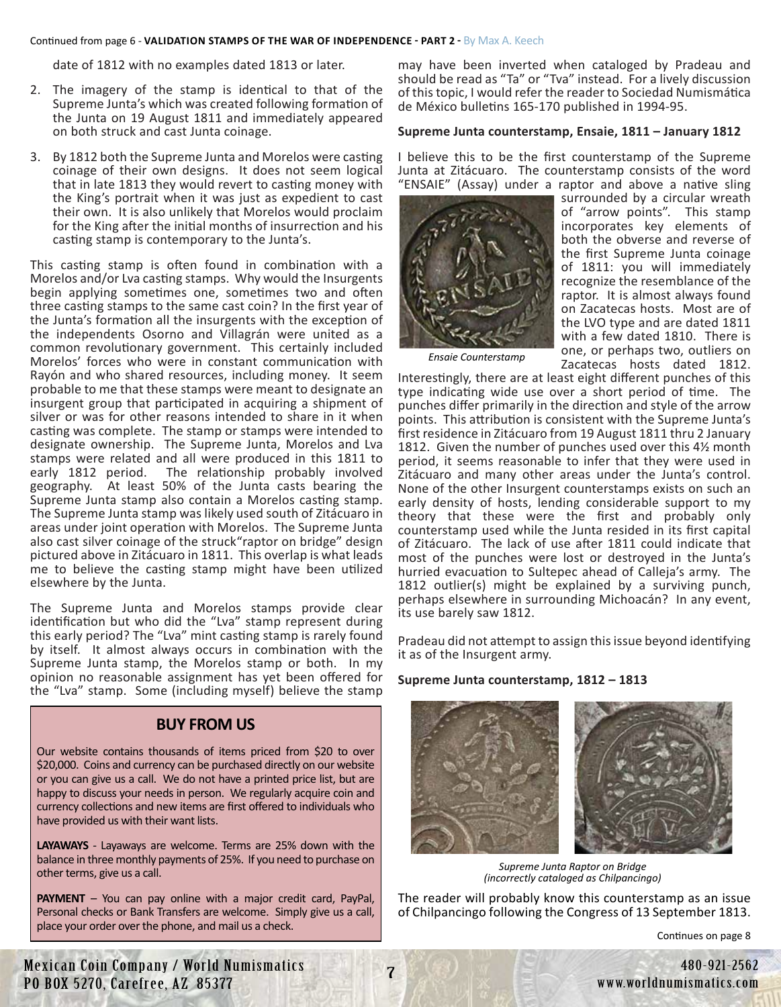#### Continued from page 6 - **VALIDATION STAMPS OF THE WAR OF INDEPENDENCE - PART 2 -** By Max A. Keech

date of 1812 with no examples dated 1813 or later.

- 2. The imagery of the stamp is identical to that of the Supreme Junta's which was created following formation of the Junta on 19 August 1811 and immediately appeared on both struck and cast Junta coinage.
- 3. By 1812 both the Supreme Junta and Morelos were casting coinage of their own designs. It does not seem logical that in late 1813 they would revert to casting money with the King's portrait when it was just as expedient to cast their own. It is also unlikely that Morelos would proclaim for the King after the initial months of insurrection and his casting stamp is contemporary to the Junta's.

This casting stamp is often found in combination with a Morelos and/or Lva casting stamps. Why would the Insurgents begin applying sometimes one, sometimes two and often three casting stamps to the same cast coin? In the first year of the Junta's formation all the insurgents with the exception of the independents Osorno and Villagrán were united as a common revolutionary government. This certainly included Morelos' forces who were in constant communication with Rayón and who shared resources, including money. It seem probable to me that these stamps were meant to designate an insurgent group that participated in acquiring a shipment of silver or was for other reasons intended to share in it when casting was complete. The stamp or stamps were intended to designate ownership. The Supreme Junta, Morelos and Lva stamps were related and all were produced in this 1811 to early 1812 period. The relationship probably involved geography. At least 50% of the Junta casts bearing the Supreme Junta stamp also contain a Morelos casting stamp. The Supreme Junta stamp was likely used south of Zitácuaro in areas under joint operation with Morelos. The Supreme Junta also cast silver coinage of the struck"raptor on bridge" design pictured above in Zitácuaro in 1811. This overlap is what leads me to believe the casting stamp might have been utilized elsewhere by the Junta.

The Supreme Junta and Morelos stamps provide clear identification but who did the "Lva" stamp represent during this early period? The "Lva" mint casting stamp is rarely found by itself. It almost always occurs in combination with the Supreme Junta stamp, the Morelos stamp or both. In my opinion no reasonable assignment has yet been offered for the "Lva" stamp. Some (including myself) believe the stamp

# **BUY FROM US**

Our website contains thousands of items priced from \$20 to over \$20,000. Coins and currency can be purchased directly on our website or you can give us a call. We do not have a printed price list, but are happy to discuss your needs in person. We regularly acquire coin and currency collections and new items are first offered to individuals who have provided us with their want lists.

**LAYAWAYS** - Layaways are welcome. Terms are 25% down with the balance in three monthly payments of 25%. If you need to purchase on other terms, give us a call.

**PAYMENT** – You can pay online with a major credit card, PayPal, Personal checks or Bank Transfers are welcome. Simply give us a call, place your order over the phone, and mail us a check.

may have been inverted when cataloged by Pradeau and should be read as "Ta" or "Tva" instead. For a lively discussion of this topic, I would refer the reader to Sociedad Numismática de México bulletins 165-170 published in 1994-95.

#### **Supreme Junta counterstamp, Ensaie, 1811 – January 1812**

I believe this to be the first counterstamp of the Supreme Junta at Zitácuaro. The counterstamp consists of the word "ENSAIE" (Assay) under a raptor and above a native sling



surrounded by a circular wreath of "arrow points". This stamp incorporates key elements of both the obverse and reverse of the first Supreme Junta coinage of 1811: you will immediately recognize the resemblance of the raptor. It is almost always found on Zacatecas hosts. Most are of the LVO type and are dated 1811 with a few dated 1810. There is one, or perhaps two, outliers on Zacatecas hosts dated 1812.

*Ensaie Counterstamp*

Interestingly, there are at least eight different punches of this type indicating wide use over a short period of time. The punches differ primarily in the direction and style of the arrow points. This attribution is consistent with the Supreme Junta's first residence in Zitácuaro from 19 August 1811 thru 2 January 1812. Given the number of punches used over this 4½ month period, it seems reasonable to infer that they were used in Zitácuaro and many other areas under the Junta's control. None of the other Insurgent counterstamps exists on such an early density of hosts, lending considerable support to my theory that these were the first and probably only counterstamp used while the Junta resided in its first capital of Zitácuaro. The lack of use after 1811 could indicate that most of the punches were lost or destroyed in the Junta's hurried evacuation to Sultepec ahead of Calleja's army. The 1812 outlier(s) might be explained by a surviving punch, perhaps elsewhere in surrounding Michoacán? In any event, its use barely saw 1812.

Pradeau did not attempt to assign this issue beyond identifying it as of the Insurgent army.

#### **Supreme Junta counterstamp, 1812 – 1813**



*Supreme Junta Raptor on Bridge (incorrectly cataloged as Chilpancingo)*

The reader will probably know this counterstamp as an issue of Chilpancingo following the Congress of 13 September 1813.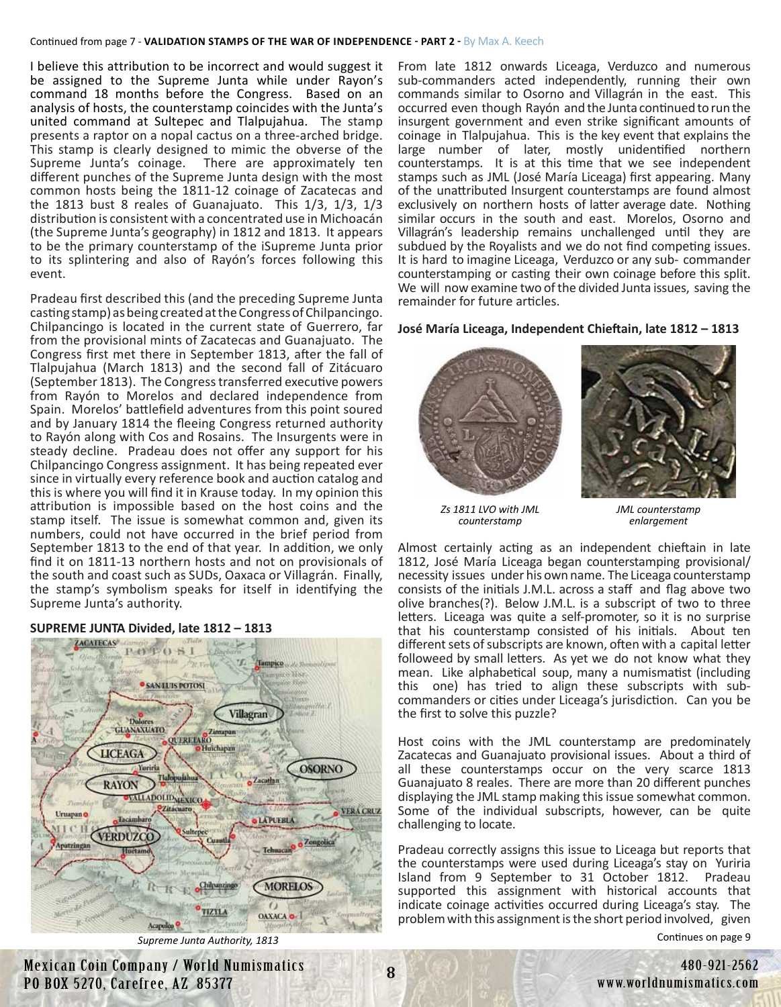I believe this attribution to be incorrect and would suggest it be assigned to the Supreme Junta while under Rayon's command 18 months before the Congress. Based on an analysis of hosts, the counterstamp coincides with the Junta's united command at Sultepec and Tlalpujahua. The stamp presents a raptor on a nopal cactus on a three-arched bridge. This stamp is clearly designed to mimic the obverse of the Supreme Junta's coinage. There are approximately ten different punches of the Supreme Junta design with the most common hosts being the 1811-12 coinage of Zacatecas and the 1813 bust 8 reales of Guanajuato. This 1/3, 1/3, 1/3 distribution is consistent with a concentrated use in Michoacán (the Supreme Junta's geography) in 1812 and 1813. It appears to be the primary counterstamp of the iSupreme Junta prior to its splintering and also of Rayón's forces following this event.

Pradeau first described this (and the preceding Supreme Junta casting stamp) as being created at the Congress of Chilpancingo. Chilpancingo is located in the current state of Guerrero, far from the provisional mints of Zacatecas and Guanajuato. The Congress first met there in September 1813, after the fall of Tlalpujahua (March 1813) and the second fall of Zitácuaro (September 1813). The Congress transferred executive powers from Rayón to Morelos and declared independence from Spain. Morelos' battlefield adventures from this point soured and by January 1814 the fleeing Congress returned authority to Rayón along with Cos and Rosains. The Insurgents were in steady decline. Pradeau does not offer any support for his Chilpancingo Congress assignment. It has being repeated ever since in virtually every reference book and auction catalog and this is where you will find it in Krause today. In my opinion this attribution is impossible based on the host coins and the stamp itself. The issue is somewhat common and, given its numbers, could not have occurred in the brief period from September 1813 to the end of that year. In addition, we only find it on 1811-13 northern hosts and not on provisionals of the south and coast such as SUDs, Oaxaca or Villagrán. Finally, the stamp's symbolism speaks for itself in identifying the Supreme Junta's authority.

#### POTOSI Tampico **SAN LUIS POTOSI Villagran GUANAXUATO** QUERI LARO **LICEAGA** Yuriria **OSORNO** Zacathan **RAYON** VALLADOLIDMEXICO Zitacuaro **VERA CRUZ** Uruapan<sup>o</sup> Tacamh **LAPUEBLA VERDUZCC** Hocta **MORELOS** R 衣 **OAXACA O-1**

#### **SUPREME JUNTA Divided, late 1812 – 1813**

*Supreme Junta Authority, 1813*

From late 1812 onwards Liceaga, Verduzco and numerous sub-commanders acted independently, running their own commands similar to Osorno and Villagrán in the east. This occurred even though Rayón and the Junta continued to run the insurgent government and even strike significant amounts of coinage in Tlalpujahua. This is the key event that explains the large number of later, mostly unidentified northern counterstamps. It is at this time that we see independent stamps such as JML (José María Liceaga) first appearing. Many of the unattributed Insurgent counterstamps are found almost exclusively on northern hosts of latter average date. Nothing similar occurs in the south and east. Morelos, Osorno and Villagrán's leadership remains unchallenged until they are subdued by the Royalists and we do not find competing issues. It is hard to imagine Liceaga, Verduzco or any sub- commander counterstamping or casting their own coinage before this split. We will now examine two of the divided Junta issues, saving the remainder for future articles.

#### **José María Liceaga, Independent Chieftain, late 1812 – 1813**



*Zs 1811 LVO with JML counterstamp*

*JML counterstamp enlargement*

Almost certainly acting as an independent chieftain in late 1812, José María Liceaga began counterstamping provisional/ necessity issues under his own name. The Liceaga counterstamp consists of the initials J.M.L. across a staff and flag above two olive branches(?). Below J.M.L. is a subscript of two to three letters. Liceaga was quite a self-promoter, so it is no surprise that his counterstamp consisted of his initials. About ten different sets of subscripts are known, often with a capital letter followeed by small letters. As yet we do not know what they mean. Like alphabetical soup, many a numismatist (including this one) has tried to align these subscripts with subcommanders or cities under Liceaga's jurisdiction. Can you be the first to solve this puzzle?

Host coins with the JML counterstamp are predominately Zacatecas and Guanajuato provisional issues. About a third of all these counterstamps occur on the very scarce 1813 Guanajuato 8 reales. There are more than 20 different punches displaying the JML stamp making this issue somewhat common. Some of the individual subscripts, however, can be quite challenging to locate.

Pradeau correctly assigns this issue to Liceaga but reports that the counterstamps were used during Liceaga's stay on Yuriria Island from 9 September to 31 October 1812. Pradeau supported this assignment with historical accounts that indicate coinage activities occurred during Liceaga's stay. The problem with this assignment is the short period involved, given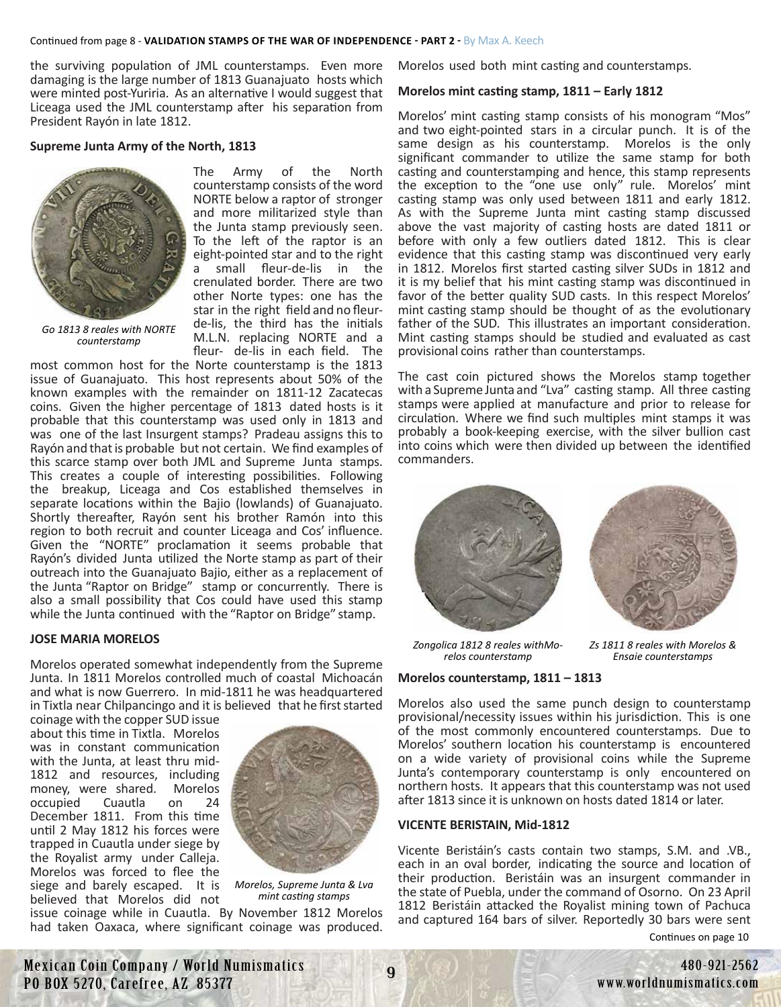the surviving population of JML counterstamps. Even more damaging is the large number of 1813 Guanajuato hosts which were minted post-Yuriria. As an alternative I would suggest that Liceaga used the JML counterstamp after his separation from President Rayón in late 1812.

#### **Supreme Junta Army of the North, 1813**



*Go 1813 8 reales with NORTE counterstamp*

The Army of the North counterstamp consists of the word NORTE below a raptor of stronger and more militarized style than the Junta stamp previously seen. To the left of the raptor is an eight-pointed star and to the right a small fleur-de-lis in the crenulated border. There are two other Norte types: one has the star in the right field and no fleurde-lis, the third has the initials M.L.N. replacing NORTE and a fleur- de-lis in each field. The

most common host for the Norte counterstamp is the 1813 issue of Guanajuato. This host represents about 50% of the known examples with the remainder on 1811-12 Zacatecas coins. Given the higher percentage of 1813 dated hosts is it probable that this counterstamp was used only in 1813 and was one of the last Insurgent stamps? Pradeau assigns this to Rayón and that is probable but not certain. We find examples of this scarce stamp over both JML and Supreme Junta stamps. This creates a couple of interesting possibilities. Following the breakup, Liceaga and Cos established themselves in separate locations within the Bajio (lowlands) of Guanajuato. Shortly thereafter, Rayón sent his brother Ramón into this region to both recruit and counter Liceaga and Cos' influence. Given the "NORTE" proclamation it seems probable that Rayón's divided Junta utilized the Norte stamp as part of their outreach into the Guanajuato Bajio, either as a replacement of the Junta "Raptor on Bridge" stamp or concurrently. There is also a small possibility that Cos could have used this stamp while the Junta continued with the "Raptor on Bridge" stamp.

#### **JOSE MARIA MORELOS**

Morelos operated somewhat independently from the Supreme Junta. In 1811 Morelos controlled much of coastal Michoacán and what is now Guerrero. In mid-1811 he was headquartered in Tixtla near Chilpancingo and it is believed that he first started

coinage with the copper SUD issue about this time in Tixtla. Morelos was in constant communication with the Junta, at least thru mid-1812 and resources, including money, were shared. Morelos occupied Cuautla on 24 December 1811. From this time until 2 May 1812 his forces were trapped in Cuautla under siege by the Royalist army under Calleja. Morelos was forced to flee the siege and barely escaped. It is believed that Morelos did not



*Morelos, Supreme Junta & Lva mint casting stamps*

issue coinage while in Cuautla. By November 1812 Morelos had taken Oaxaca, where significant coinage was produced. Morelos used both mint casting and counterstamps.

#### **Morelos mint casting stamp, 1811 – Early 1812**

Morelos' mint casting stamp consists of his monogram "Mos" and two eight-pointed stars in a circular punch. It is of the same design as his counterstamp. Morelos is the only significant commander to utilize the same stamp for both casting and counterstamping and hence, this stamp represents the exception to the "one use only" rule. Morelos' mint casting stamp was only used between 1811 and early 1812. As with the Supreme Junta mint casting stamp discussed above the vast majority of casting hosts are dated 1811 or before with only a few outliers dated 1812. This is clear evidence that this casting stamp was discontinued very early in 1812. Morelos first started casting silver SUDs in 1812 and it is my belief that his mint casting stamp was discontinued in favor of the better quality SUD casts. In this respect Morelos' mint casting stamp should be thought of as the evolutionary father of the SUD. This illustrates an important consideration. Mint casting stamps should be studied and evaluated as cast provisional coins rather than counterstamps.

The cast coin pictured shows the Morelos stamp together with a Supreme Junta and "Lva" casting stamp. All three casting stamps were applied at manufacture and prior to release for circulation. Where we find such multiples mint stamps it was probably a book-keeping exercise, with the silver bullion cast into coins which were then divided up between the identified commanders.





*Zs 1811 8 reales with Morelos &* 

*Zongolica 1812 8 reales withMo- relos counterstamp*

# **Morelos counterstamp, 1811 – 1813** *Ensaie counterstamps*

Morelos also used the same punch design to counterstamp provisional/necessity issues within his jurisdiction. This is one of the most commonly encountered counterstamps. Due to Morelos' southern location his counterstamp is encountered on a wide variety of provisional coins while the Supreme Junta's contemporary counterstamp is only encountered on northern hosts. It appears that this counterstamp was not used after 1813 since it is unknown on hosts dated 1814 or later.

#### **VICENTE BERISTAIN, Mid-1812**

Vicente Beristáin's casts contain two stamps, S.M. and .VB., each in an oval border, indicating the source and location of their production. Beristáin was an insurgent commander in the state of Puebla, under the command of Osorno. On 23 April 1812 Beristáin attacked the Royalist mining town of Pachuca and captured 164 bars of silver. Reportedly 30 bars were sent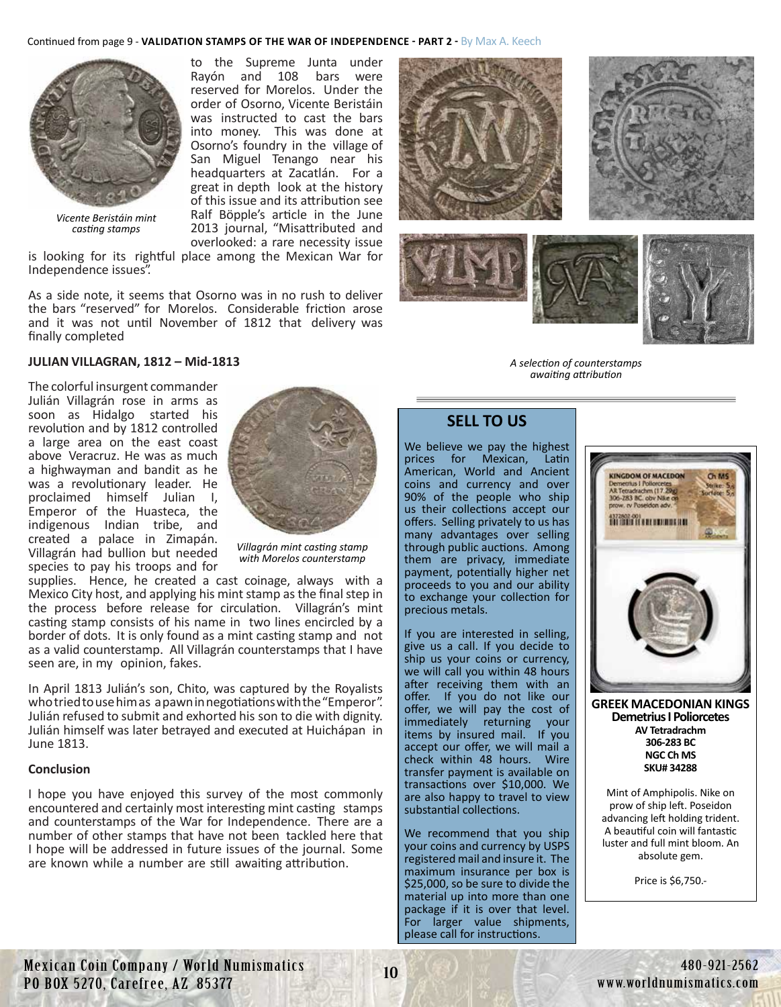# to the Supreme Junta under Continued from page 9 - VALIDATION STAMPS OF THE WAR OF INDEPENDENCE - PART 2 - By Max A. Keech

Rayón and 108 bars were reserved for Morelos. Under the order of Osorno, Vicente Beristáin was instructed to cast the bars into money. This was done at Osorno's foundry in the village of San Miguel Tenango near his headquarters at Zacatlán. For a great in depth look at the history of this issue and its attribution see Ralf Böpple's article in the June 2013 journal, "Misattributed and overlooked: a rare necessity issue



*Vicente Beristáin mint casting stamps*

is looking for its rightful place among the Mexican War for Independence issues".

As a side note, it seems that Osorno was in no rush to deliver the bars "reserved" for Morelos. Considerable friction arose and it was not until November of 1812 that delivery was finally completed



The colorful insurgent commander Julián Villagrán rose in arms as soon as Hidalgo started his revolution and by 1812 controlled a large area on the east coast above Veracruz. He was as much a highwayman and bandit as he was a revolutionary leader. He proclaimed himself Julian I, Emperor of the Huasteca, the indigenous Indian tribe, and created a palace in Zimapán. Villagrán had bullion but needed species to pay his troops and for



*Villagrán mint casting stamp with Morelos counterstamp*

supplies. Hence, he created a cast coinage, always with a Mexico City host, and applying his mint stamp as the final step in the process before release for circulation. Villagrán's mint casting stamp consists of his name in two lines encircled by a border of dots. It is only found as a mint casting stamp and not as a valid counterstamp. All Villagrán counterstamps that I have seen are, in my opinion, fakes.

In April 1813 Julián's son, Chito, was captured by the Royalists who tried to use him as a pawn in negotiations with the"Emperor". Julián refused to submit and exhorted his son to die with dignity. Julián himself was later betrayed and executed at Huichápan in June 1813.

#### **Conclusion**

I hope you have enjoyed this survey of the most commonly encountered and certainly most interesting mint casting stamps and counterstamps of the War for Independence. There are a number of other stamps that have not been tackled here that I hope will be addressed in future issues of the journal. Some are known while a number are still awaiting attribution.









*A selection of counterstamps awaiting attribution*

# **SELL TO US**

We believe we pay the highest prices for Mexican, Latin American, World and Ancient coins and currency and over 90% of the people who ship us their collections accept our offers. Selling privately to us has many advantages over selling through public auctions. Among them are privacy, immediate payment, potentially higher net proceeds to you and our ability to exchange your collection for precious metals.

If you are interested in selling, give us a call. If you decide to ship us your coins or currency, we will call you within 48 hours after receiving them with an offer. If you do not like our offer, we will pay the cost of immediately returning your items by insured mail. If you accept our offer, we will mail a check within 48 hours. Wire transfer payment is available on transactions over \$10,000. We are also happy to travel to view substantial collections.

We recommend that you ship your coins and currency by USPS registered mail and insure it. The maximum insurance per box is \$25,000, so be sure to divide the material up into more than one package if it is over that level. For larger value shipments, please call for instructions.



**[GREEK MACEDONIAN KINGS](https://worldnumismatics.com/?product=greek-macedonian-kings-demetrius-poliorcetes-306-283-bc-av-tetradrachm-34288) Demetrius I Poliorcetes AV Tetradrachm 306-283 BC NGC Ch MS SKU# 34288**

Mint of Amphipolis. Nike on prow of ship left. Poseidon advancing left holding trident. A beautiful coin will fantastic luster and full mint bloom. An absolute gem.

Price is \$6,750.-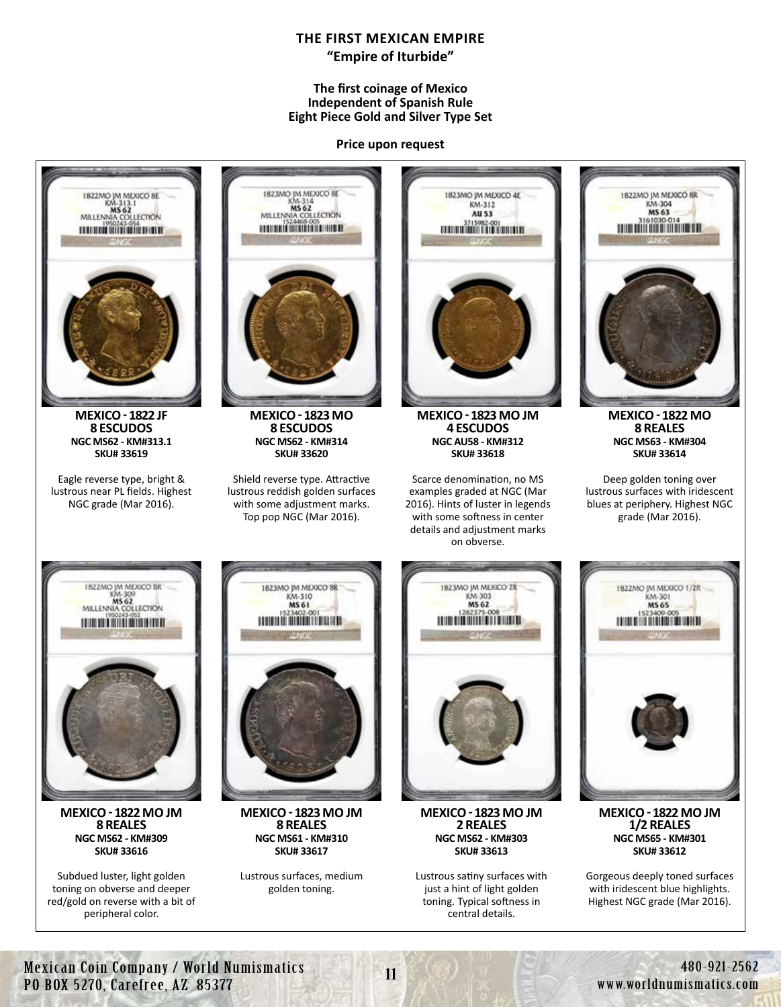# **THE FIRST MEXICAN EMPIRE "Empire of Iturbide"**

#### **The first coinage of Mexico Independent of Spanish Rule Eight Piece Gold and Silver Type Set**

**Price upon request**



Mexican Coin Company / World Numismatics PO BOX 5270, Carefree, AZ 85377

11 480-921-2562 www.worldnumismatics.com